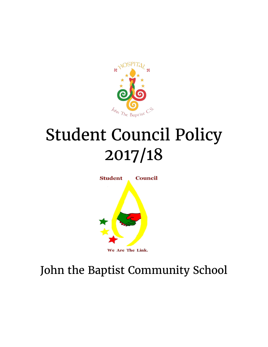

# Student Council Policy 2017/18



John the Baptist Community School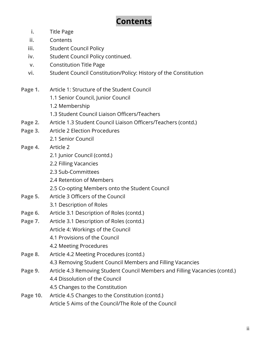# **Contents**

- **i.** Title Page
- **ii.** Contents
- **iii.** Student Council Policy
- **iv.** Student Council Policy continued.
- **v.** Constitution Title Page
- **vi.** Student Council Constitution/Policy: History of the Constitution
- **Page 1.** Article 1: Structure of the Student Council
	- 1.1 Senior Council, Junior Council
	- 1.2 Membership
	- 1.3 Student Council Liaison Officers/Teachers
- **Page 2.** Article 1.3 Student Council Liaison Officers/Teachers (contd.)
- **Page 3.** Article 2 Election Procedures 2.1 Senior Council
- **Page 4.** Article 2
	- 2.1 Junior Council (contd.)
	- 2.2 Filling Vacancies
	- 2.3 Sub-Committees
	- 2.4 Retention of Members
	- 2.5 Co-opting Members onto the Student Council
- **Page 5.** Article 3 Officers of the Council
	- 3.1 Description of Roles
- **Page 6.** Article 3.1 Description of Roles (contd.)
- **Page 7.** Article 3.1 Description of Roles (contd.) Article 4: Workings of the Council
	- 4.1 Provisions of the Council
	- 4.2 Meeting Procedures
- **Page 8.** Article 4.2 Meeting Procedures (contd.)
	- 4.3 Removing Student Council Members and Filling Vacancies
- **Page 9.** Article 4.3 Removing Student Council Members and Filling Vacancies (contd.) 4.4 Dissolution of the Council 4.5 Changes to the Constitution
- **Page 10.** Article 4.5 Changes to the Constitution (contd.) Article 5 Aims of the Council/The Role of the Council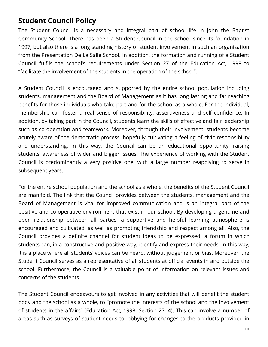## **Student Council Policy**

The Student Council is a necessary and integral part of school life in John the Baptist Community School. There has been a Student Council in the school since its foundation in 1997, but also there is a long standing history of student involvement in such an organisation from the Presentation De La Salle School. In addition, the formation and running of a Student Council fulfils the school's requirements under Section 27 of the Education Act, 1998 to "facilitate the involvement of the students in the operation of the school".

A Student Council is encouraged and supported by the entire school population including students, management and the Board of Management as it has long lasting and far reaching benefits for those individuals who take part and for the school as a whole. For the individual, membership can foster a real sense of responsibility, assertiveness and self confidence. In addition, by taking part in the Council, students learn the skills of effective and fair leadership such as co-operation and teamwork. Moreover, through their involvement, students become acutely aware of the democratic process, hopefully cultivating a feeling of civic responsibility and understanding. In this way, the Council can be an educational opportunity, raising students' awareness of wider and bigger issues. The experience of working with the Student Council is predominantly a very positive one, with a large number reapplying to serve in subsequent years.

For the entire school population and the school as a whole, the benefits of the Student Council are manifold. The link that the Council provides between the students, management and the Board of Management is vital for improved communication and is an integral part of the positive and co-operative environment that exist in our school. By developing a genuine and open relationship between all parties, a supportive and helpful learning atmosphere is encouraged and cultivated, as well as promoting friendship and respect among all. Also, the Council provides a definite channel for student ideas to be expressed, a forum in which students can, in a constructive and positive way, identify and express their needs. In this way, it is a place where all students' voices can be heard, without judgement or bias. Moreover, the Student Council serves as a representative of all students at official events in and outside the school. Furthermore, the Council is a valuable point of information on relevant issues and concerns of the students.

The Student Council endeavours to get involved in any activities that will benefit the student body and the school as a whole, to "promote the interests of the school and the involvement of students in the affairs" (Education Act, 1998, Section 27, 4). This can involve a number of areas such as surveys of student needs to lobbying for changes to the products provided in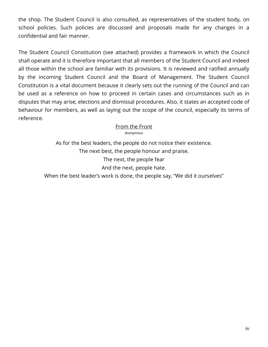the shop. The Student Council is also consulted, as representatives of the student body, on school policies. Such policies are discussed and proposals made for any changes in a confidential and fair manner.

The Student Council Constitution (see attached) provides a framework in which the Council shall operate and it is therefore important that all members of the Student Council and indeed all those within the school are familiar with its provisions. It is reviewed and ratified annually by the incoming Student Council and the Board of Management. The Student Council Constitution is a vital document because it clearly sets out the running of the Council and can be used as a reference on how to proceed in certain cases and circumstances such as in disputes that may arise, elections and dismissal procedures. Also, it states an accepted code of behaviour for members, as well as laying out the scope of the council, especially its terms of reference.

> From the Front *Anonymous*

As for the best leaders, the people do not notice their existence. The next best, the people honour and praise. The next, the people fear And the next, people hate. When the best leader's work is done, the people say, "We did it ourselves"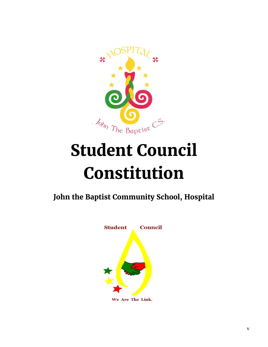

# **Student Council Constitution**

**John the Baptist Community School, Hospital**

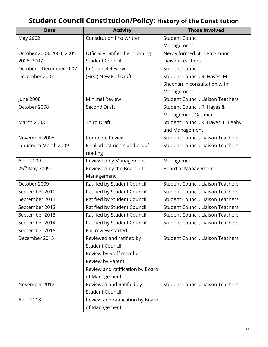# **Student Council Constitution/Policy: History of the Constitution**

| <b>Date</b>               | <b>Activity</b>                  | <b>Those Involved</b>                    |
|---------------------------|----------------------------------|------------------------------------------|
| May 2002                  | Constitution first written       | <b>Student Council</b>                   |
|                           |                                  | Management                               |
| October 2003, 2004, 2005, | Officially ratified by incoming  | Newly formed Student Council             |
| 2006, 2007                | <b>Student Council</b>           | <b>Liaison Teachers</b>                  |
| October - December 2007   | In Council Review                | <b>Student Council</b>                   |
| December 2007             | (First) New Full Draft           | Student Council, R. Hayes, M.            |
|                           |                                  | Sheehan in consultation with             |
|                           |                                  | Management                               |
| June 2008                 | <b>Minimal Review</b>            | Student Council, Liaison Teachers        |
| October 2008              | Second Draft                     | Student Council, R. Hayes &              |
|                           |                                  | Management October                       |
| March 2008                | <b>Third Draft</b>               | Student Council, R. Hayes, E. Leahy      |
|                           |                                  | and Management                           |
| November 2008             | Complete Review                  | Student Council, Liaison Teachers        |
| January to March 2009     | Final adjustments and proof      | Student Council, Liaison Teachers        |
|                           | reading                          |                                          |
| April 2009                | Reviewed by Management           | Management                               |
| 25 <sup>th</sup> May 2009 | Reviewed by the Board of         | Board of Management                      |
|                           | Management                       |                                          |
| October 2009              | Ratified by Student Council      | Student Council, Liaison Teachers        |
| September 2010            | Ratified by Student Council      | Student Council, Liaison Teachers        |
| September 2011            | Ratified by Student Council      | <b>Student Council, Liaison Teachers</b> |
| September 2012            | Ratified by Student Council      | Student Council, Liaison Teachers        |
| September 2013            | Ratified by Student Council      | Student Council, Liaison Teachers        |
| September 2014            | Ratified by Student Council      | Student Council, Liaison Teachers        |
| September 2015            | Full review started              |                                          |
| December 2015             | Reviewed and ratified by         | Student Council, Liaison Teachers        |
|                           | <b>Student Council</b>           |                                          |
|                           | Review by Staff member           |                                          |
|                           | Review by Parent                 |                                          |
|                           | Review and ratification by Board |                                          |
|                           | of Management                    |                                          |
| November 2017             | Reviewed and Ratified by         | Student Council, Liaison Teachers        |
|                           | <b>Student Council</b>           |                                          |
| April 2018                | Review and ratification by Board |                                          |
|                           | of Management                    |                                          |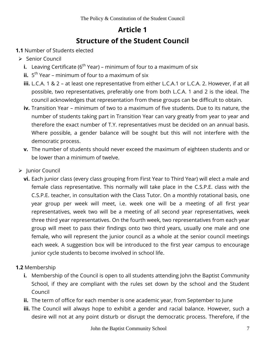# **Article 1 Structure of the Student Council**

- **1.1** Number of Students elected
- $\triangleright$  Senior Council
	- **i.** Leaving Certificate ( $6<sup>th</sup> Year$ ) minimum of four to a maximum of six
	- **ii.** 5<sup>th</sup> Year minimum of four to a maximum of six
	- **iii.** L.C.A. 1 & 2 at least one representative from either L.C.A.1 or L.C.A. 2. However, if at all possible, two representatives, preferably one from both L.C.A. 1 and 2 is the ideal. The council acknowledges that representation from these groups can be difficult to obtain.
	- **iv.** Transition Year minimum of two to a maximum of five students. Due to its nature, the number of students taking part in Transition Year can vary greatly from year to year and therefore the exact number of T.Y. representatives must be decided on an annual basis. Where possible, a gender balance will be sought but this will not interfere with the democratic process.
	- **v.** The number of students should never exceed the maximum of eighteen students and or be lower than a minimum of twelve.
- > Junior Council
	- **vi.** Each junior class (every class grouping from First Year to Third Year) will elect a male and female class representative. This normally will take place in the C.S.P.E. class with the C.S.P.E. teacher, in consultation with the Class Tutor. On a monthly rotational basis, one year group per week will meet, i.e. week one will be a meeting of all first year representatives, week two will be a meeting of all second year representatives, week three third year representatives. On the fourth week, two representatives from each year group will meet to pass their findings onto two third years, usually one male and one female, who will represent the junior council as a whole at the senior council meetings each week. A suggestion box will be introduced to the first year campus to encourage junior cycle students to become involved in school life.
- **1.2** Membership
	- **i.** Membership of the Council is open to all students attending John the Baptist Community School, if they are compliant with the rules set down by the school and the Student Council
	- **ii.** The term of office for each member is one academic year, from September to June
	- **iii.** The Council will always hope to exhibit a gender and racial balance. However, such a desire will not at any point disturb or disrupt the democratic process. Therefore, if the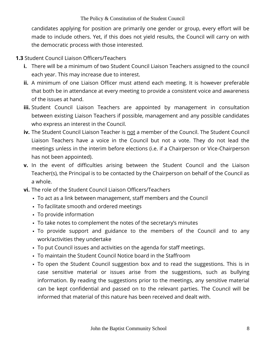candidates applying for position are primarily one gender or group, every effort will be made to include others. Yet, if this does not yield results, the Council will carry on with the democratic process with those interested.

## **1.3** Student Council Liaison Officers/Teachers

- **i.** There will be a minimum of two Student Council Liaison Teachers assigned to the council each year. This may increase due to interest.
- **ii.** A minimum of one Liaison Officer must attend each meeting. It is however preferable that both be in attendance at every meeting to provide a consistent voice and awareness of the issues at hand.
- **iii.** Student Council Liaison Teachers are appointed by management in consultation between existing Liaison Teachers if possible, management and any possible candidates who express an interest in the Council.
- **iv.** The Student Council Liaison Teacher is not a member of the Council. The Student Council Liaison Teachers have a voice in the Council but not a vote. They do not lead the meetings unless in the interim before elections (i.e. if a Chairperson or Vice-Chairperson has not been appointed).
- **v.** In the event of difficulties arising between the Student Council and the Liaison Teacher(s), the Principal is to be contacted by the Chairperson on behalf of the Council as a whole.
- **vi.** The role of the Student Council Liaison Officers/Teachers
	- To act as a link between management, staff members and the Council
	- To facilitate smooth and ordered meetings
	- To provide information
	- To take notes to complement the notes of the secretary's minutes
	- To provide support and guidance to the members of the Council and to any work/activities they undertake
	- To put Council issues and activities on the agenda for staff meetings.
	- To maintain the Student Council Notice board in the Staffroom
	- To open the Student Council suggestion box and to read the suggestions. This is in case sensitive material or issues arise from the suggestions, such as bullying information. By reading the suggestions prior to the meetings, any sensitive material can be kept confidential and passed on to the relevant parties. The Council will be informed that material of this nature has been received and dealt with.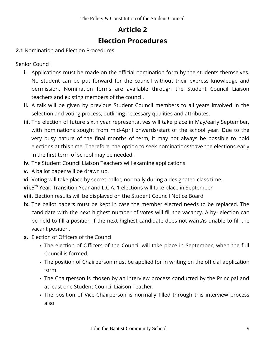# **Article 2 Election Procedures**

#### **2.1** Nomination and Election Procedures

Senior Council

- **i.** Applications must be made on the official nomination form by the students themselves. No student can be put forward for the council without their express knowledge and permission. Nomination forms are available through the Student Council Liaison teachers and existing members of the council.
- **ii.** A talk will be given by previous Student Council members to all years involved in the selection and voting process, outlining necessary qualities and attributes.
- **iii.** The election of future sixth year representatives will take place in May/early September, with nominations sought from mid-April onwards/start of the school year. Due to the very busy nature of the final months of term, it may not always be possible to hold elections at this time. Therefore, the option to seek nominations/have the elections early in the first term of school may be needed.
- **iv.** The Student Council Liaison Teachers will examine applications
- **v.** A ballot paper will be drawn up.
- **vi.** Voting will take place by secret ballot, normally during a designated class time.
- **vii.**5<sup>th</sup> Year, Transition Year and L.C.A. 1 elections will take place in September
- **viii.** Election results will be displayed on the Student Council Notice Board
- **ix.** The ballot papers must be kept in case the member elected needs to be replaced. The candidate with the next highest number of votes will fill the vacancy. A by- election can be held to fill a position if the next highest candidate does not want/is unable to fill the vacant position.
- **x.** Election of Officers of the Council
	- The election of Officers of the Council will take place in September, when the full Council is formed.
	- The position of Chairperson must be applied for in writing on the official application form
	- The Chairperson is chosen by an interview process conducted by the Principal and at least one Student Council Liaison Teacher.
	- The position of Vice-Chairperson is normally filled through this interview process also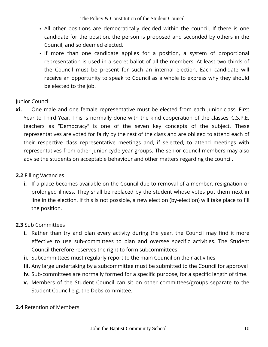- All other positions are democratically decided within the council. If there is one candidate for the position, the person is proposed and seconded by others in the Council, and so deemed elected.
- If more than one candidate applies for a position, a system of proportional representation is used in a secret ballot of all the members. At least two thirds of the Council must be present for such an internal election. Each candidate will receive an opportunity to speak to Council as a whole to express why they should be elected to the job.

## Junior Council

**xi.** One male and one female representative must be elected from each Junior class, First Year to Third Year. This is normally done with the kind cooperation of the classes' C.S.P.E. teachers as "Democracy" is one of the seven key concepts of the subject. These representatives are voted for fairly by the rest of the class and are obliged to attend each of their respective class representative meetings and, if selected, to attend meetings with representatives from other junior cycle year groups. The senior council members may also advise the students on acceptable behaviour and other matters regarding the council.

## **2.2** Filling Vacancies

**i.** If a place becomes available on the Council due to removal of a member, resignation or prolonged illness. They shall be replaced by the student whose votes put them next in line in the election. If this is not possible, a new election (by-election) will take place to fill the position.

## **2.3** Sub Committees

- **i.** Rather than try and plan every activity during the year, the Council may find it more effective to use sub-committees to plan and oversee specific activities. The Student Council therefore reserves the right to form subcommittees
- **ii.** Subcommittees must regularly report to the main Council on their activities
- **iii.** Any large undertaking by a subcommittee must be submitted to the Council for approval
- **iv.** Sub-committees are normally formed for a specific purpose, for a specific length of time.
- **v.** Members of the Student Council can sit on other committees/groups separate to the Student Council e.g. the Debs committee.
- **2.4** Retention of Members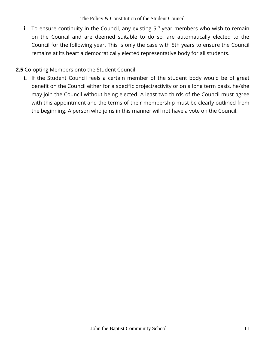The Policy & Constitution of the Student Council

**i.** To ensure continuity in the Council, any existing 5<sup>th</sup> year members who wish to remain on the Council and are deemed suitable to do so, are automatically elected to the Council for the following year. This is only the case with 5th years to ensure the Council remains at its heart a democratically elected representative body for all students.

## **2.5** Co-opting Members onto the Student Council

**i.** If the Student Council feels a certain member of the student body would be of great benefit on the Council either for a specific project/activity or on a long term basis, he/she may join the Council without being elected. A least two thirds of the Council must agree with this appointment and the terms of their membership must be clearly outlined from the beginning. A person who joins in this manner will not have a vote on the Council.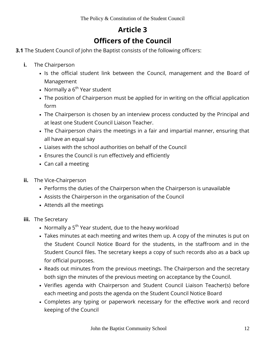## **Article 3 Officers of the Council**

- **3.1** The Student Council of John the Baptist consists of the following officers:
	- **i.** The Chairperson
		- If Is the official student link between the Council, management and the Board of Management
		- Normally a  $6^{th}$  Year student
		- The position of Chairperson must be applied for in writing on the official application form
		- The Chairperson is chosen by an interview process conducted by the Principal and at least one Student Council Liaison Teacher.
		- The Chairperson chairs the meetings in a fair and impartial manner, ensuring that all have an equal say
		- Liaises with the school authorities on behalf of the Council
		- Ensures the Council is run effectively and efficiently
		- Can call a meeting
	- **ii.** The Vice-Chairperson
		- Performs the duties of the Chairperson when the Chairperson is unavailable
		- Assists the Chairperson in the organisation of the Council
		- Attends all the meetings
	- **iii.** The Secretary
		- Normally a  $5<sup>th</sup>$  Year student, due to the heavy workload
		- Takes minutes at each meeting and writes them up. A copy of the minutes is put on the Student Council Notice Board for the students, in the staffroom and in the Student Council files. The secretary keeps a copy of such records also as a back up for official purposes.
		- Reads out minutes from the previous meetings. The Chairperson and the secretary both sign the minutes of the previous meeting on acceptance by the Council.
		- Verifies agenda with Chairperson and Student Council Liaison Teacher(s) before each meeting and posts the agenda on the Student Council Notice Board
		- Completes any typing or paperwork necessary for the effective work and record keeping of the Council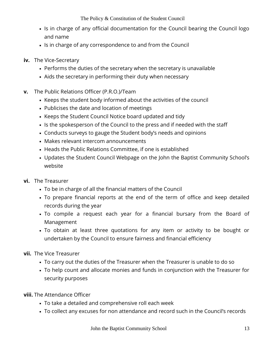- If is in charge of any official documentation for the Council bearing the Council logo and name
- If is in charge of any correspondence to and from the Council
- **iv.** The Vice-Secretary
	- Performs the duties of the secretary when the secretary is unavailable
	- Aids the secretary in performing their duty when necessary
- **v.** The Public Relations Officer (P.R.O.)/Team
	- Keeps the student body informed about the activities of the council
	- Publicises the date and location of meetings
	- Keeps the Student Council Notice board updated and tidy
	- If Is the spokesperson of the Council to the press and if needed with the staff
	- Conducts surveys to gauge the Student body's needs and opinions
	- Makes relevant intercom announcements
	- Heads the Public Relations Committee, if one is established
	- Updates the Student Council Webpage on the John the Baptist Community School's website
- **vi.** The Treasurer
	- To be in charge of all the financial matters of the Council
	- To prepare financial reports at the end of the term of office and keep detailed records during the year
	- To compile a request each year for a financial bursary from the Board of Management
	- To obtain at least three quotations for any item or activity to be bought or undertaken by the Council to ensure fairness and financial efficiency
- **vii.** The Vice Treasurer
	- To carry out the duties of the Treasurer when the Treasurer is unable to do so
	- To help count and allocate monies and funds in conjunction with the Treasurer for security purposes

**viii.** The Attendance Officer

- To take a detailed and comprehensive roll each week
- To collect any excuses for non attendance and record such in the Council's records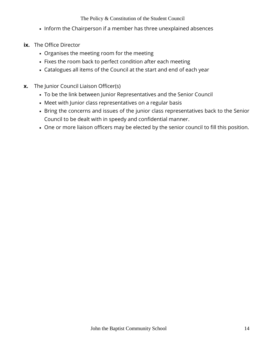#### The Policy & Constitution of the Student Council

- Inform the Chairperson if a member has three unexplained absences
- **ix.** The Office Director
	- Organises the meeting room for the meeting
	- Fixes the room back to perfect condition after each meeting
	- Catalogues all items of the Council at the start and end of each year
- **x.** The Junior Council Liaison Officer(s)
	- To be the link between Junior Representatives and the Senior Council
	- Meet with Junior class representatives on a regular basis
	- Bring the concerns and issues of the junior class representatives back to the Senior Council to be dealt with in speedy and confidential manner.
	- One or more liaison officers may be elected by the senior council to fill this position.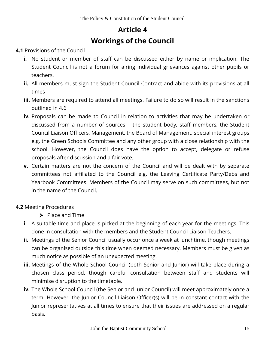## **Article 4 Workings of the Council**

#### **4.1** Provisions of the Council

- **i.** No student or member of staff can be discussed either by name or implication. The Student Council is not a forum for airing individual grievances against other pupils or teachers.
- **ii.** All members must sign the Student Council Contract and abide with its provisions at all times
- **iii.** Members are required to attend all meetings. Failure to do so will result in the sanctions outlined in 4.6
- **iv.** Proposals can be made to Council in relation to activities that may be undertaken or discussed from a number of sources – the student body, staff members, the Student Council Liaison Officers, Management, the Board of Management, special interest groups e.g. the Green Schools Committee and any other group with a close relationship with the school. However, the Council does have the option to accept, delegate or refuse proposals after discussion and a fair vote.
- **v.** Certain matters are not the concern of the Council and will be dealt with by separate committees not affiliated to the Council e.g. the Leaving Certificate Party/Debs and Yearbook Committees. Members of the Council may serve on such committees, but not in the name of the Council.

## **4.2** Meeting Procedures

- $\triangleright$  Place and Time
- **i.** A suitable time and place is picked at the beginning of each year for the meetings. This done in consultation with the members and the Student Council Liaison Teachers.
- **ii.** Meetings of the Senior Council usually occur once a week at lunchtime, though meetings can be organised outside this time when deemed necessary. Members must be given as much notice as possible of an unexpected meeting.
- **iii.** Meetings of the Whole School Council (both Senior and Junior) will take place during a chosen class period, though careful consultation between staff and students will minimise disruption to the timetable.
- **iv.** The Whole School Council (the Senior and Junior Council) will meet approximately once a term. However, the Junior Council Liaison Officer(s) will be in constant contact with the Junior representatives at all times to ensure that their issues are addressed on a regular basis.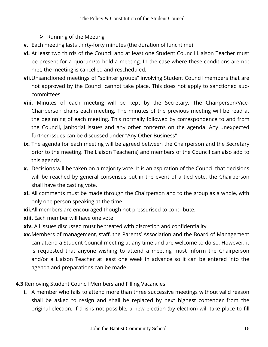- $\triangleright$  Running of the Meeting
- **v.** Each meeting lasts thirty-forty minutes (the duration of lunchtime)
- **vi.** At least two thirds of the Council and at least one Student Council Liaison Teacher must be present for a quorum/to hold a meeting. In the case where these conditions are not met, the meeting is cancelled and rescheduled.
- **vii.**Unsanctioned meetings of "splinter groups" involving Student Council members that are not approved by the Council cannot take place. This does not apply to sanctioned subcommittees
- **viii.** Minutes of each meeting will be kept by the Secretary. The Chairperson/Vice-Chairperson chairs each meeting. The minutes of the previous meeting will be read at the beginning of each meeting. This normally followed by correspondence to and from the Council, Janitorial issues and any other concerns on the agenda. Any unexpected further issues can be discussed under "Any Other Business"
- **ix.** The agenda for each meeting will be agreed between the Chairperson and the Secretary prior to the meeting. The Liaison Teacher(s) and members of the Council can also add to this agenda.
- **x.** Decisions will be taken on a majority vote. It is an aspiration of the Council that decisions will be reached by general consensus but in the event of a tied vote, the Chairperson shall have the casting vote.
- **xi.** All comments must be made through the Chairperson and to the group as a whole, with only one person speaking at the time.
- **xii.**All members are encouraged though not pressurised to contribute.
- **xiii.** Each member will have one vote
- **xiv.** All issues discussed must be treated with discretion and confidentiality
- **xv.**Members of management, staff, the Parents' Association and the Board of Management can attend a Student Council meeting at any time and are welcome to do so. However, it is requested that anyone wishing to attend a meeting must inform the Chairperson and/or a Liaison Teacher at least one week in advance so it can be entered into the agenda and preparations can be made.
- **4.3** Removing Student Council Members and Filling Vacancies
	- **i.** A member who fails to attend more than three successive meetings without valid reason shall be asked to resign and shall be replaced by next highest contender from the original election. If this is not possible, a new election (by-election) will take place to fill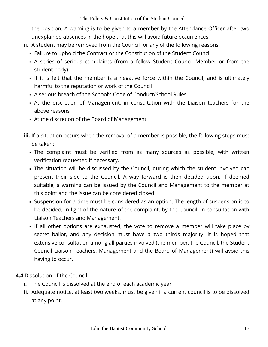the position. A warning is to be given to a member by the Attendance Officer after two unexplained absences in the hope that this will avoid future occurrences.

- **ii.** A student may be removed from the Council for any of the following reasons:
	- Failure to uphold the Contract or the Constitution of the Student Council
	- A series of serious complaints (from a fellow Student Council Member or from the student body)
	- If it is felt that the member is a negative force within the Council, and is ultimately harmful to the reputation or work of the Council
	- A serious breach of the School's Code of Conduct/School Rules
	- At the discretion of Management, in consultation with the Liaison teachers for the above reasons
	- At the discretion of the Board of Management
- **iii.** If a situation occurs when the removal of a member is possible, the following steps must be taken:
	- The complaint must be verified from as many sources as possible, with written verification requested if necessary.
	- The situation will be discussed by the Council, during which the student involved can present their side to the Council. A way forward is then decided upon. If deemed suitable, a warning can be issued by the Council and Management to the member at this point and the issue can be considered closed.
	- Suspension for a time must be considered as an option. The length of suspension is to be decided, in light of the nature of the complaint, by the Council, in consultation with Liaison Teachers and Management.
	- If all other options are exhausted, the vote to remove a member will take place by secret ballot, and any decision must have a two thirds majority. It is hoped that extensive consultation among all parties involved (the member, the Council, the Student Council Liaison Teachers, Management and the Board of Management) will avoid this having to occur.

## **4.4** Dissolution of the Council

- **i.** The Council is dissolved at the end of each academic year
- **ii.** Adequate notice, at least two weeks, must be given if a current council is to be dissolved at any point.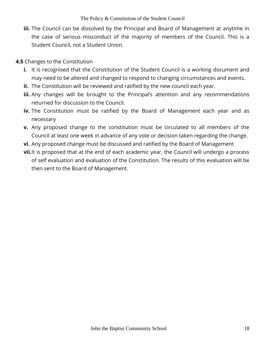- **iii.** The Council can be dissolved by the Principal and Board of Management at anytime in the case of serious misconduct of the majority of members of the Council. This is a Student Council, not a Student Union.
- **4.5** Changes to the Constitution
	- **i.** It is recognised that the Constitution of the Student Council is a working document and may need to be altered and changed to respond to changing circumstances and events.
	- **ii.** The Constitution will be reviewed and ratified by the new council each year.
	- **iii.** Any changes will be brought to the Principal's attention and any recommendations returned for discussion to the Council.
	- **iv.** The Constitution must be ratified by the Board of Management each year and as necessary
	- **v.** Any proposed change to the constitution must be circulated to all members of the Council at least one week in advance of any vote or decision taken regarding the change.
	- **vi.** Any proposed change must be discussed and ratified by the Board of Management
	- **vii.** It is proposed that at the end of each academic year, the Council will undergo a process of self evaluation and evaluation of the Constitution. The results of this evaluation will be then sent to the Board of Management.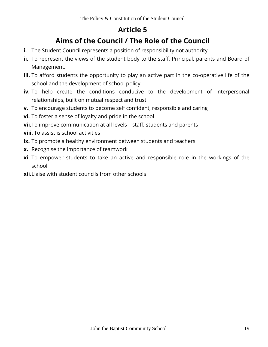## **Article 5**

## **Aims of the Council / The Role of the Council**

- **i.** The Student Council represents a position of responsibility not authority
- **ii.** To represent the views of the student body to the staff, Principal, parents and Board of Management.
- **iii.** To afford students the opportunity to play an active part in the co-operative life of the school and the development of school policy
- **iv.** To help create the conditions conducive to the development of interpersonal relationships, built on mutual respect and trust
- **v.** To encourage students to become self confident, responsible and caring
- **vi.** To foster a sense of loyalty and pride in the school
- **vii.**To improve communication at all levels staff, students and parents
- **viii.** To assist is school activities
- **ix.** To promote a healthy environment between students and teachers
- **x.** Recognise the importance of teamwork
- **xi.** To empower students to take an active and responsible role in the workings of the school
- **xii.**Liaise with student councils from other schools